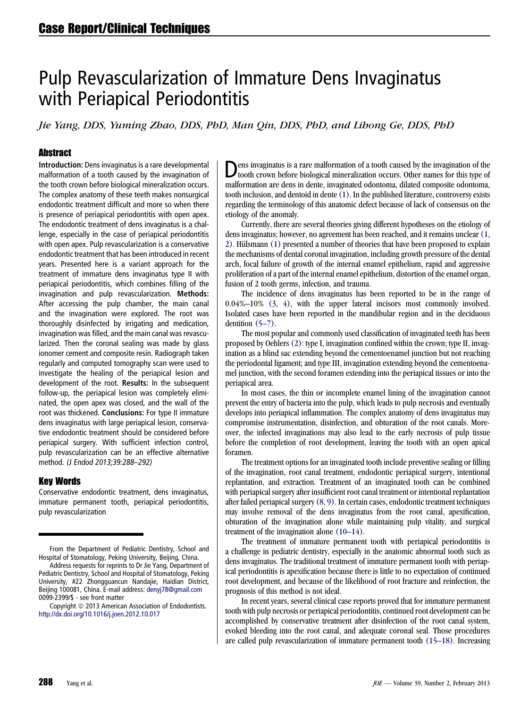# Pulp Revascularization of Immature Dens Invaginatus with Periapical Periodontitis

Jie Yang, DDS, Yuming Zhao, DDS, PhD, Man Qin, DDS, PhD, and Lihong Ge, DDS, PhD

#### Abstract

Introduction: Dens invaginatus is a rare developmental malformation of a tooth caused by the invagination of the tooth crown before biological mineralization occurs. The complex anatomy of these teeth makes nonsurgical endodontic treatment difficult and more so when there is presence of periapical periodontitis with open apex. The endodontic treatment of dens invaginatus is a challenge, especially in the case of periapical periodontitis with open apex. Pulp revascularization is a conservative endodontic treatment that has been introduced in recent years. Presented here is a variant approach for the treatment of immature dens invaginatus type II with periapical periodontitis, which combines filling of the invagination and pulp revascularization. Methods: After accessing the pulp chamber, the main canal and the invagination were explored. The root was thoroughly disinfected by irrigating and medication, invagination was filled, and the main canal was revascularized. Then the coronal sealing was made by glass ionomer cement and composite resin. Radiograph taken regularly and computed tomography scan were used to investigate the healing of the periapical lesion and development of the root. Results: In the subsequent follow-up, the periapical lesion was completely eliminated, the open apex was closed, and the wall of the root was thickened. Conclusions: For type II immature dens invaginatus with large periapical lesion, conservative endodontic treatment should be considered before periapical surgery. With sufficient infection control, pulp revascularization can be an effective alternative method. (J Endod 2013;39:288–292)

#### Key Words

Conservative endodontic treatment, dens invaginatus, immature permanent tooth, periapical periodontitis, pulp revascularization

Copyright © 2013 American Association of Endodontists. <http://dx.doi.org/10.1016/j.joen.2012.10.017>

**Density** invaginatus is a rare malformation of a tooth caused by the invagination of the tooth crown before biological mineralization occurs. Other names for this type of malformation are dens in dente, invaginated odontoma, dilated composite odontoma, tooth inclusion, and dentoid in dente [\(1\).](#page-3-0) In the published literature, controversy exists regarding the terminology of this anatomic defect because of lack of consensus on the etiology of the anomaly.

Currently, there are several theories giving different hypotheses on the etiology of dens invaginatus; however, no agreement has been reached, and it remains unclear[\(1,](#page-3-0) [2\)](#page-3-0). Hülsmann [\(1\)](#page-3-0) presented a number of theories that have been proposed to explain the mechanisms of dental coronal invagination, including growth pressure of the dental arch, focal failure of growth of the internal enamel epithelium, rapid and aggressive proliferation of a part of the internal enamel epithelium, distortion of the enamel organ, fusion of 2 tooth germs, infection, and trauma.

The incidence of dens invaginatus has been reported to be in the range of 0.04%–10% [\(3, 4\)](#page-3-0), with the upper lateral incisors most commonly involved. Isolated cases have been reported in the mandibular region and in the deciduous dentition [\(5–7\)](#page-3-0).

The most popular and commonly used classification of invaginated teeth has been proposed by Oehlers [\(2\):](#page-3-0) type I, invagination confined within the crown; type II, invagination as a blind sac extending beyond the cementoenamel junction but not reaching the periodontal ligament; and type III, invagination extending beyond the cementoenamel junction, with the second foramen extending into the periapical tissues or into the periapical area.

In most cases, the thin or incomplete enamel lining of the invagination cannot prevent the entry of bacteria into the pulp, which leads to pulp necrosis and eventually develops into periapical inflammation. The complex anatomy of dens invaginatus may compromise instrumentation, disinfection, and obturation of the root canals. Moreover, the infected invaginations may also lead to the early necrosis of pulp tissue before the completion of root development, leaving the tooth with an open apical foramen.

The treatment options for an invaginated tooth include preventive sealing or filling of the invagination, root canal treatment, endodontic periapical surgery, intentional replantation, and extraction. Treatment of an invaginated tooth can be combined with periapical surgery after insufficient root canal treatment or intentional replantation after failed periapical surgery[\(8, 9\)](#page-3-0). In certain cases, endodontic treatment techniques may involve removal of the dens invaginatus from the root canal, apexification, obturation of the invagination alone while maintaining pulp vitality, and surgical treatment of the invagination alone [\(10–14\)](#page-3-0).

The treatment of immature permanent tooth with periapical periodontitis is a challenge in pediatric dentistry, especially in the anatomic abnormal tooth such as dens invaginatus. The traditional treatment of immature permanent tooth with periapical periodontitis is apexification because there is little to no expectation of continued root development, and because of the likelihood of root fracture and reinfection, the prognosis of this method is not ideal.

In recent years, several clinical case reports proved that for immature permanent tooth with pulp necrosis or periapical periodontitis, continued root development can be accomplished by conservative treatment after disinfection of the root canal system, evoked bleeding into the root canal, and adequate coronal seal. Those procedures are called pulp revascularization of immature permanent tooth [\(15–18\)](#page-4-0). Increasing

From the Department of Pediatric Dentistry, School and Hospital of Stomatology, Peking University, Beijing, China.

Address requests for reprints to Dr Jie Yang, Department of Pediatric Dentistry, School and Hospital of Stomatology, Peking University, #22 Zhongguancun Nandajie, Haidian District, Beijing 100081, China. E-mail address: [denyj78@gmail.com](mailto:denyj78@gmail.com) 0099-2399/\$ - see front matter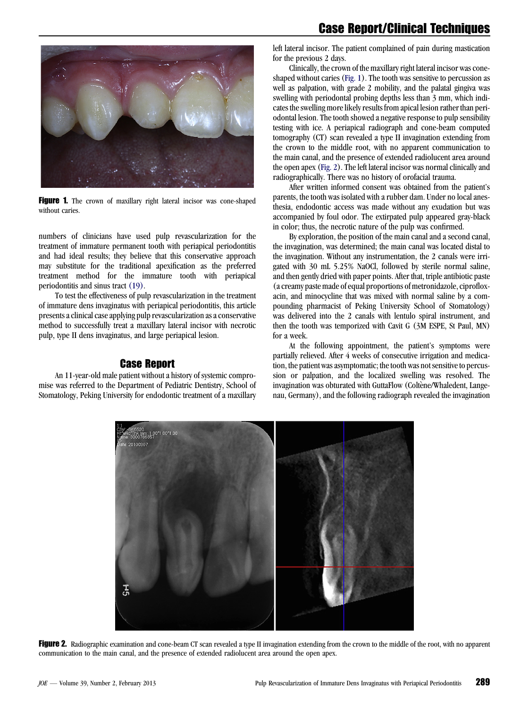



Figure 1. The crown of maxillary right lateral incisor was cone-shaped without caries.

numbers of clinicians have used pulp revascularization for the treatment of immature permanent tooth with periapical periodontitis and had ideal results; they believe that this conservative approach may substitute for the traditional apexification as the preferred treatment method for the immature tooth with periapical periodontitis and sinus tract [\(19\).](#page-4-0)

To test the effectiveness of pulp revascularization in the treatment of immature dens invaginatus with periapical periodontitis, this article presents a clinical case applying pulp revascularization as a conservative method to successfully treat a maxillary lateral incisor with necrotic pulp, type II dens invaginatus, and large periapical lesion.

#### Case Report

An 11-year-old male patient without a history of systemic compromise was referred to the Department of Pediatric Dentistry, School of Stomatology, Peking University for endodontic treatment of a maxillary left lateral incisor. The patient complained of pain during mastication for the previous 2 days.

Clinically, the crown of the maxillary right lateral incisor was coneshaped without caries (Fig. 1). The tooth was sensitive to percussion as well as palpation, with grade 2 mobility, and the palatal gingiva was swelling with periodontal probing depths less than 3 mm, which indicates the swelling more likely results from apical lesion rather than periodontal lesion. The tooth showed a negative response to pulp sensibility testing with ice. A periapical radiograph and cone-beam computed tomography (CT) scan revealed a type II invagination extending from the crown to the middle root, with no apparent communication to the main canal, and the presence of extended radiolucent area around the open apex (Fig. 2). The left lateral incisor was normal clinically and radiographically. There was no history of orofacial trauma.

After written informed consent was obtained from the patient's parents, the tooth was isolated with a rubber dam. Under no local anesthesia, endodontic access was made without any exudation but was accompanied by foul odor. The extirpated pulp appeared gray-black in color; thus, the necrotic nature of the pulp was confirmed.

By exploration, the position of the main canal and a second canal, the invagination, was determined; the main canal was located distal to the invagination. Without any instrumentation, the 2 canals were irrigated with 30 mL 5.25% NaOCl, followed by sterile normal saline, and then gently dried with paper points. After that, triple antibiotic paste (a creamy paste made of equal proportions of metronidazole, ciprofloxacin, and minocycline that was mixed with normal saline by a compounding pharmacist of Peking University School of Stomatology) was delivered into the 2 canals with lentulo spiral instrument, and then the tooth was temporized with Cavit G (3M ESPE, St Paul, MN) for a week.

At the following appointment, the patient's symptoms were partially relieved. After 4 weeks of consecutive irrigation and medication, the patient was asymptomatic; the tooth was not sensitive to percussion or palpation, and the localized swelling was resolved. The invagination was obturated with GuttaFlow (Coltène/Whaledent, Langenau, Germany), and the following radiograph revealed the invagination



Figure 2. Radiographic examination and cone-beam CT scan revealed a type II invagination extending from the crown to the middle of the root, with no apparent communication to the main canal, and the presence of extended radiolucent area around the open apex.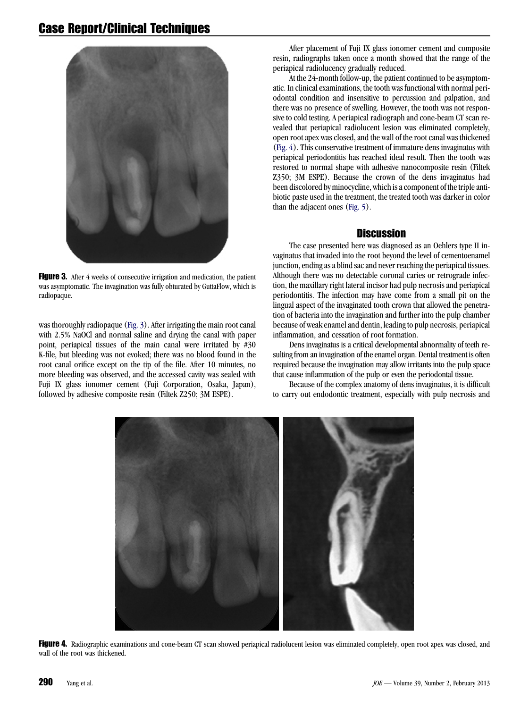

**Figure 3.** After 4 weeks of consecutive irrigation and medication, the patient was asymptomatic. The invagination was fully obturated by GuttaFlow, which is radiopaque.

was thoroughly radiopaque (Fig. 3). After irrigating the main root canal with 2.5% NaOCl and normal saline and drying the canal with paper point, periapical tissues of the main canal were irritated by #30 K-file, but bleeding was not evoked; there was no blood found in the root canal orifice except on the tip of the file. After 10 minutes, no more bleeding was observed, and the accessed cavity was sealed with Fuji IX glass ionomer cement (Fuji Corporation, Osaka, Japan), followed by adhesive composite resin (Filtek Z250; 3M ESPE).

After placement of Fuji IX glass ionomer cement and composite resin, radiographs taken once a month showed that the range of the periapical radiolucency gradually reduced.

At the 24-month follow-up, the patient continued to be asymptomatic. In clinical examinations, the tooth was functional with normal periodontal condition and insensitive to percussion and palpation, and there was no presence of swelling. However, the tooth was not responsive to cold testing. A periapical radiograph and cone-beam CT scan revealed that periapical radiolucent lesion was eliminated completely, open root apex was closed, and the wall of the root canal was thickened (Fig. 4). This conservative treatment of immature dens invaginatus with periapical periodontitis has reached ideal result. Then the tooth was restored to normal shape with adhesive nanocomposite resin (Filtek Z350; 3M ESPE). Because the crown of the dens invaginatus had been discolored by minocycline, which is a component of the triple antibiotic paste used in the treatment, the treated tooth was darker in color than the adjacent ones ([Fig. 5\)](#page-3-0).

#### Discussion

The case presented here was diagnosed as an Oehlers type II invaginatus that invaded into the root beyond the level of cementoenamel junction, ending as a blind sac and never reaching the periapical tissues. Although there was no detectable coronal caries or retrograde infection, the maxillary right lateral incisor had pulp necrosis and periapical periodontitis. The infection may have come from a small pit on the lingual aspect of the invaginated tooth crown that allowed the penetration of bacteria into the invagination and further into the pulp chamber because of weak enamel and dentin, leading to pulp necrosis, periapical inflammation, and cessation of root formation.

Dens invaginatus is a critical developmental abnormality of teeth resulting from an invagination of the enamel organ. Dental treatment is often required because the invagination may allow irritants into the pulp space that cause inflammation of the pulp or even the periodontal tissue.

Because of the complex anatomy of dens invaginatus, it is difficult to carry out endodontic treatment, especially with pulp necrosis and



Figure 4. Radiographic examinations and cone-beam CT scan showed periapical radiolucent lesion was eliminated completely, open root apex was closed, and wall of the root was thickened.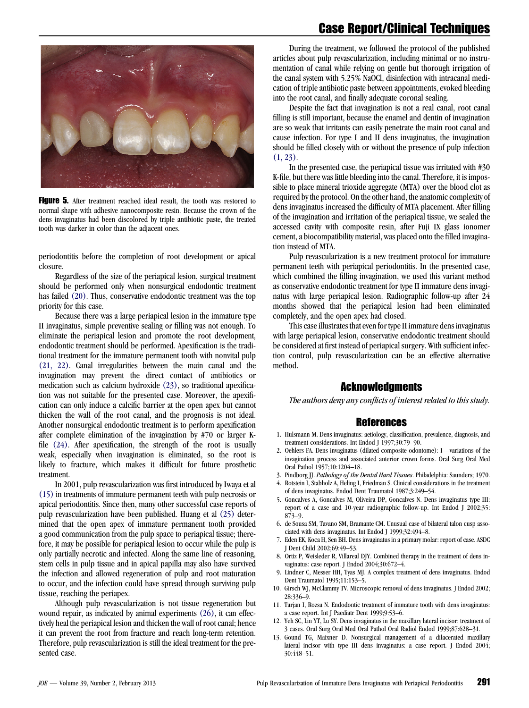### Case Report/Clinical Techniques

<span id="page-3-0"></span>

Figure 5. After treatment reached ideal result, the tooth was restored to normal shape with adhesive nanocomposite resin. Because the crown of the dens invaginatus had been discolored by triple antibiotic paste, the treated tooth was darker in color than the adjacent ones.

periodontitis before the completion of root development or apical closure.

Regardless of the size of the periapical lesion, surgical treatment should be performed only when nonsurgical endodontic treatment has failed [\(20\)](#page-4-0). Thus, conservative endodontic treatment was the top priority for this case.

Because there was a large periapical lesion in the immature type II invaginatus, simple preventive sealing or filling was not enough. To eliminate the periapical lesion and promote the root development, endodontic treatment should be performed. Apexification is the traditional treatment for the immature permanent tooth with nonvital pulp [\(21, 22\)](#page-4-0). Canal irregularities between the main canal and the invagination may prevent the direct contact of antibiotics or medication such as calcium hydroxide [\(23\)](#page-4-0), so traditional apexification was not suitable for the presented case. Moreover, the apexification can only induce a calcific barrier at the open apex but cannot thicken the wall of the root canal, and the prognosis is not ideal. Another nonsurgical endodontic treatment is to perform apexification after complete elimination of the invagination by #70 or larger Kfile [\(24\)](#page-4-0). After apexification, the strength of the root is usually weak, especially when invagination is eliminated, so the root is likely to fracture, which makes it difficult for future prosthetic treatment.

In 2001, pulp revascularization was first introduced by Iwaya et al [\(15\)](#page-4-0) in treatments of immature permanent teeth with pulp necrosis or apical periodontitis. Since then, many other successful case reports of pulp revascularization have been published. Huang et al [\(25\)](#page-4-0) determined that the open apex of immature permanent tooth provided a good communication from the pulp space to periapical tissue; therefore, it may be possible for periapical lesion to occur while the pulp is only partially necrotic and infected. Along the same line of reasoning, stem cells in pulp tissue and in apical papilla may also have survived the infection and allowed regeneration of pulp and root maturation to occur, and the infection could have spread through surviving pulp tissue, reaching the periapex.

Although pulp revascularization is not tissue regeneration but wound repair, as indicated by animal experiments [\(26\)](#page-4-0), it can effectively heal the periapical lesion and thicken the wall of root canal; hence it can prevent the root from fracture and reach long-term retention. Therefore, pulp revascularization is still the ideal treatment for the presented case.

During the treatment, we followed the protocol of the published articles about pulp revascularization, including minimal or no instrumentation of canal while relying on gentle but thorough irrigation of the canal system with 5.25% NaOCl, disinfection with intracanal medication of triple antibiotic paste between appointments, evoked bleeding into the root canal, and finally adequate coronal sealing.

Despite the fact that invagination is not a real canal, root canal filling is still important, because the enamel and dentin of invagination are so weak that irritants can easily penetrate the main root canal and cause infection. For type I and II dens invaginatus, the invagination should be filled closely with or without the presence of pulp infection  $(1, 23)$ .

In the presented case, the periapical tissue was irritated with #30 K-file, but there was little bleeding into the canal. Therefore, it is impossible to place mineral trioxide aggregate (MTA) over the blood clot as required by the protocol. On the other hand, the anatomic complexity of dens invaginatus increased the difficulty of MTA placement. After filling of the invagination and irritation of the periapical tissue, we sealed the accessed cavity with composite resin, after Fuji IX glass ionomer cement, a biocompatibility material, was placed onto the filled invagination instead of MTA.

Pulp revascularization is a new treatment protocol for immature permanent teeth with periapical periodontitis. In the presented case, which combined the filling invagination, we used this variant method as conservative endodontic treatment for type II immature dens invaginatus with large periapical lesion. Radiographic follow-up after 24 months showed that the periapical lesion had been eliminated completely, and the open apex had closed.

This case illustrates that even for type II immature dens invaginatus with large periapical lesion, conservative endodontic treatment should be considered at first instead of periapical surgery. With sufficient infection control, pulp revascularization can be an effective alternative method.

#### **Acknowledgments**

The authors deny any conflicts of interest related to this study.

#### References

- 1. Hulsmann M. Dens invaginatus: aetiology, classification, prevalence, diagnosis, and treatment considerations. Int Endod J 1997;30:79–90.
- 2. Oehlers FA. Dens invaginatus (dilated composite odontome): I—variations of the invagination process and associated anterior crown forms. Oral Surg Oral Med Oral Pathol 1957;10:1204–18.
- 3. Pindborg JJ. Pathology of the Dental Hard Tissues. Philadelphia: Saunders; 1970.
- 4. Rotstein I, Stabholz A, Heling I, Friedman S. Clinical considerations in the treatment of dens invaginatus. Endod Dent Traumatol 1987;3:249–54.
- 5. Goncalves A, Goncalves M, Oliveira DP, Goncalves N. Dens invaginatus type III: report of a case and 10-year radiographic follow-up. Int Endod J 2002;35: 873–9.
- 6. de Sousa SM, Tavano SM, Bramante CM. Unusual case of bilateral talon cusp associated with dens invaginatus. Int Endod J 1999;32:494–8.
- 7. Eden EK, Koca H, Sen BH. Dens invaginatus in a primary molar: report of case. ASDC J Dent Child 2002;69:49–53.
- 8. Ortiz P, Weisleder R, Villareal DJY. Combined therapy in the treatment of dens invaginatus: case report. J Endod 2004;30:672–4.
- 9. Lindner C, Messer HH, Tyas MJ. A complex treatment of dens invaginatus. Endod Dent Traumatol 1995;11:153–5.
- 10. Girsch WJ, McClammy TV. Microscopic removal of dens invaginatus. J Endod 2002; 28:336–9.
- 11. Tarjan I, Rozsa N. Endodontic treatment of immature tooth with dens invaginatus: a case report. Int J Paediatr Dent 1999;9:53–6.
- 12. Yeh SC, Lin YT, Lu SY. Dens invaginatus in the maxillary lateral incisor: treatment of 3 cases. Oral Surg Oral Med Oral Pathol Oral Radiol Endod 1999;87:628–31.
- 13. Gound TG, Maixner D. Nonsurgical management of a dilacerated maxillary lateral incisor with type III dens invaginatus: a case report. J Endod 2004; 30:448–51.